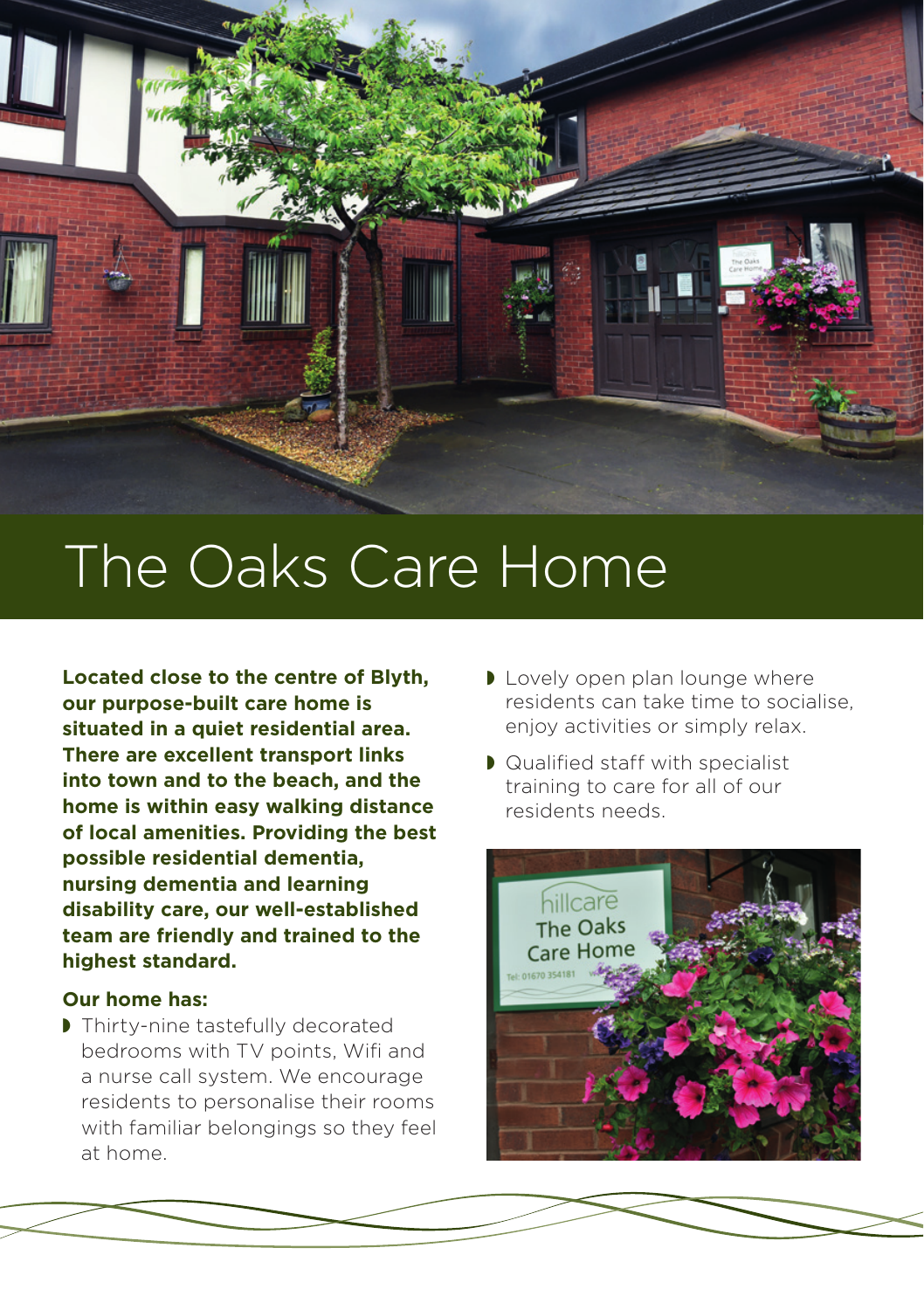

## The Oaks Care Home

**Located close to the centre of Blyth, our purpose-built care home is situated in a quiet residential area. There are excellent transport links into town and to the beach, and the home is within easy walking distance of local amenities. Providing the best possible residential dementia, nursing dementia and learning disability care, our well-established team are friendly and trained to the highest standard.** 

## **Our home has:**

 $\blacktriangleright$  Thirty-nine tastefully decorated bedrooms with TV points, Wifi and a nurse call system. We encourage residents to personalise their rooms with familiar belongings so they feel at home.

- I Lovely open plan lounge where residents can take time to socialise, enjoy activities or simply relax.
- $\blacksquare$  Qualified staff with specialist training to care for all of our residents needs.